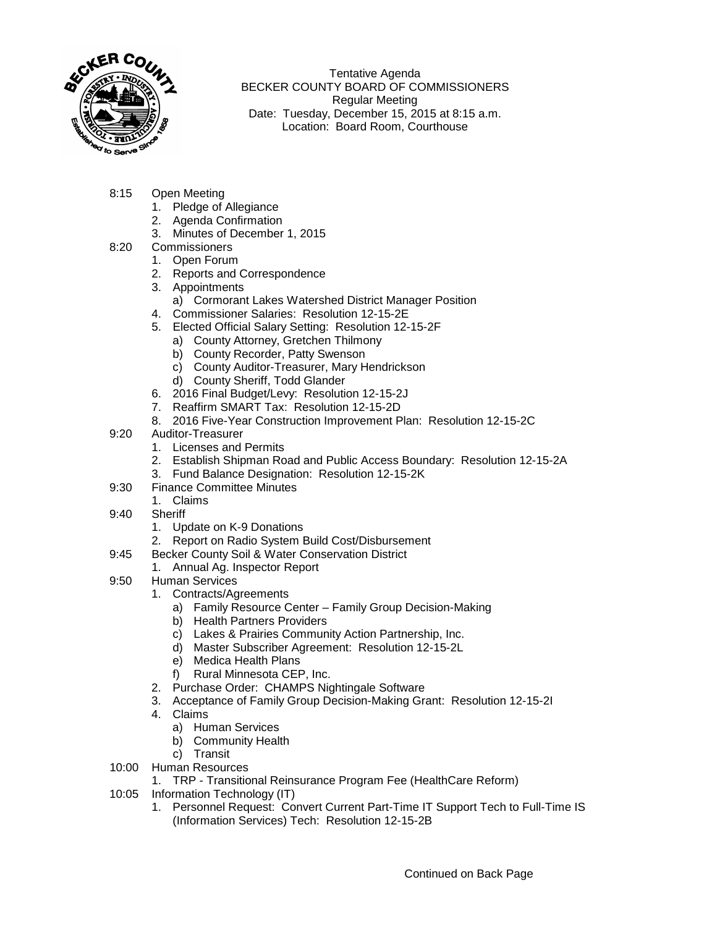

Tentative Agenda BECKER COUNTY BOARD OF COMMISSIONERS Regular Meeting Date: Tuesday, December 15, 2015 at 8:15 a.m. Location: Board Room, Courthouse

- 8:15 Open Meeting
	- 1. Pledge of Allegiance
	- 2. Agenda Confirmation
	- 3. Minutes of December 1, 2015
- 8:20 Commissioners
	- 1. Open Forum
	- 2. Reports and Correspondence
	- 3. Appointments
		- a) Cormorant Lakes Watershed District Manager Position
	- 4. Commissioner Salaries: Resolution 12-15-2E
	- 5. Elected Official Salary Setting: Resolution 12-15-2F
		- a) County Attorney, Gretchen Thilmony
		- b) County Recorder, Patty Swenson
		- c) County Auditor-Treasurer, Mary Hendrickson
		- d) County Sheriff, Todd Glander
	- 6. 2016 Final Budget/Levy: Resolution 12-15-2J
	- 7. Reaffirm SMART Tax: Resolution 12-15-2D
	- 8. 2016 Five-Year Construction Improvement Plan: Resolution 12-15-2C
- 9:20 Auditor-Treasurer
	- 1. Licenses and Permits
	- 2. Establish Shipman Road and Public Access Boundary: Resolution 12-15-2A
	- 3. Fund Balance Designation: Resolution 12-15-2K
- 9:30 Finance Committee Minutes
	- 1. Claims
- 9:40 Sheriff
	- 1. Update on K-9 Donations
	- 2. Report on Radio System Build Cost/Disbursement
- 9:45 Becker County Soil & Water Conservation District
	- 1. Annual Ag. Inspector Report
- 9:50 Human Services
	- 1. Contracts/Agreements
		- a) Family Resource Center Family Group Decision-Making
		- b) Health Partners Providers
		- c) Lakes & Prairies Community Action Partnership, Inc.
		- d) Master Subscriber Agreement: Resolution 12-15-2L
		- e) Medica Health Plans
		- f) Rural Minnesota CEP, Inc.
	- 2. Purchase Order: CHAMPS Nightingale Software
	- 3. Acceptance of Family Group Decision-Making Grant: Resolution 12-15-2I
	- 4. Claims
		- a) Human Services
		- b) Community Health
	- c) Transit
- 10:00 Human Resources
	- 1. TRP Transitional Reinsurance Program Fee (HealthCare Reform)
- 10:05 Information Technology (IT)
	- 1. Personnel Request: Convert Current Part-Time IT Support Tech to Full-Time IS (Information Services) Tech: Resolution 12-15-2B